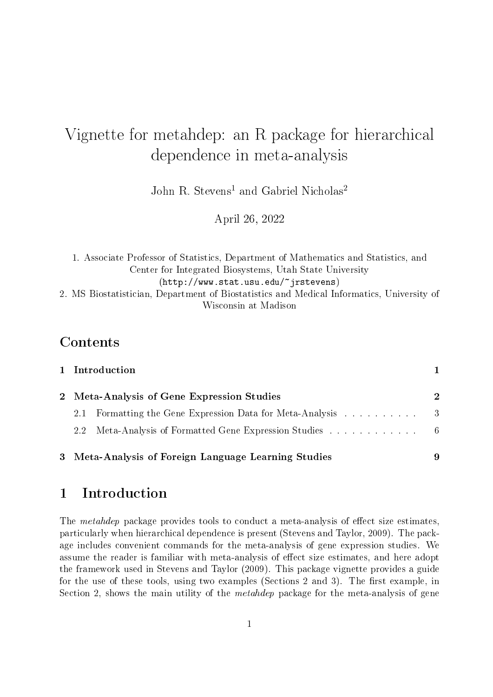# Vignette for metahdep: an R package for hierarchical dependence in meta-analysis

John R. Stevens<sup>1</sup> and Gabriel Nicholas<sup>2</sup>

April 26, 2022

1. Associate Professor of Statistics, Department of Mathematics and Statistics, and Center for Integrated Biosystems, Utah State University (http://www.stat.usu.edu/~jrstevens) 2. MS Biostatistician, Department of Biostatistics and Medical Informatics, University of Wisconsin at Madison

### Contents

| 1 Introduction                                               |               |
|--------------------------------------------------------------|---------------|
| 2 Meta-Analysis of Gene Expression Studies                   | $\mathcal{D}$ |
| Formatting the Gene Expression Data for Meta-Analysis<br>2.1 | - 3           |
| 2.2                                                          |               |
| 3 Meta-Analysis of Foreign Language Learning Studies         | 9             |

## 1 Introduction

The *metahdep* package provides tools to conduct a meta-analysis of effect size estimates, particularly when hierarchical dependence is present (Stevens and Taylor, 2009). The package includes convenient commands for the meta-analysis of gene expression studies. We assume the reader is familiar with meta-analysis of effect size estimates, and here adopt the framework used in Stevens and Taylor (2009). This package vignette provides a guide for the use of these tools, using two examples (Sections 2 and 3). The first example, in Section 2, shows the main utility of the *metahdep* package for the meta-analysis of gene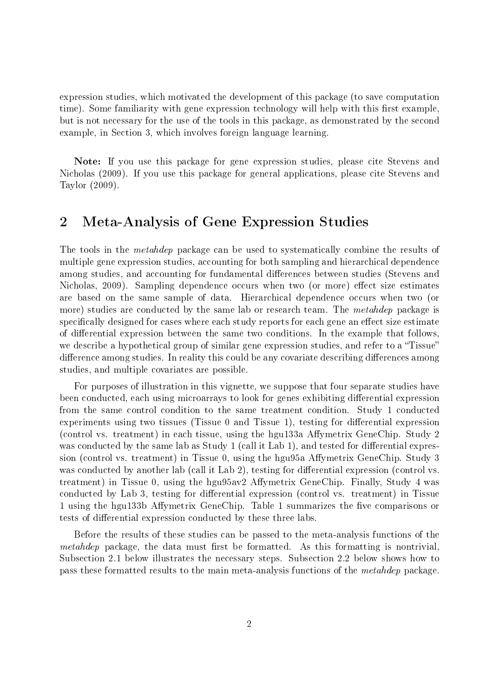expression studies, which motivated the development of this package (to save computation time). Some familiarity with gene expression technology will help with this first example. but is not necessary for the use of the tools in this package, as demonstrated by the second example, in Section 3, which involves foreign language learning.

Note: If you use this package for gene expression studies, please cite Stevens and Nicholas (2009). If you use this package for general applications, please cite Stevens and Taylor (2009).

## 2 Meta-Analysis of Gene Expression Studies

The tools in the *metahdep* package can be used to systematically combine the results of multiple gene expression studies, accounting for both sampling and hierarchical dependence among studies, and accounting for fundamental differences between studies (Stevens and Nicholas, 2009). Sampling dependence occurs when two (or more) effect size estimates are based on the same sample of data. Hierarchical dependence occurs when two (or more) studies are conducted by the same lab or research team. The *metahdep* package is specifically designed for cases where each study reports for each gene an effect size estimate of differential expression between the same two conditions. In the example that follows, we describe a hypothetical group of similar gene expression studies, and refer to a "Tissue" difference among studies. In reality this could be any covariate describing differences among studies, and multiple covariates are possible.

For purposes of illustration in this vignette, we suppose that four separate studies have been conducted, each using microarrays to look for genes exhibiting differential expression from the same control condition to the same treatment condition. Study 1 conducted experiments using two tissues (Tissue  $0$  and Tissue 1), testing for differential expression (control vs. treatment) in each tissue, using the hgu133a Affymetrix GeneChip. Study 2 was conducted by the same lab as Study 1 (call it Lab 1), and tested for differential expression (control vs. treatment) in Tissue 0, using the hgu $95a$  Affymetrix GeneChip. Study 3 was conducted by another lab (call it Lab 2), testing for differential expression (control vs. treatment) in Tissue 0, using the hgu95av2 Affymetrix GeneChip. Finally, Study 4 was conducted by Lab 3, testing for differential expression (control vs. treatment) in Tissue 1 using the hgu133b Affymetrix GeneChip. Table 1 summarizes the five comparisons or tests of differential expression conducted by these three labs.

Before the results of these studies can be passed to the meta-analysis functions of the metahdep package, the data must first be formatted. As this formatting is nontrivial. Subsection 2.1 below illustrates the necessary steps. Subsection 2.2 below shows how to pass these formatted results to the main meta-analysis functions of the metahdep package.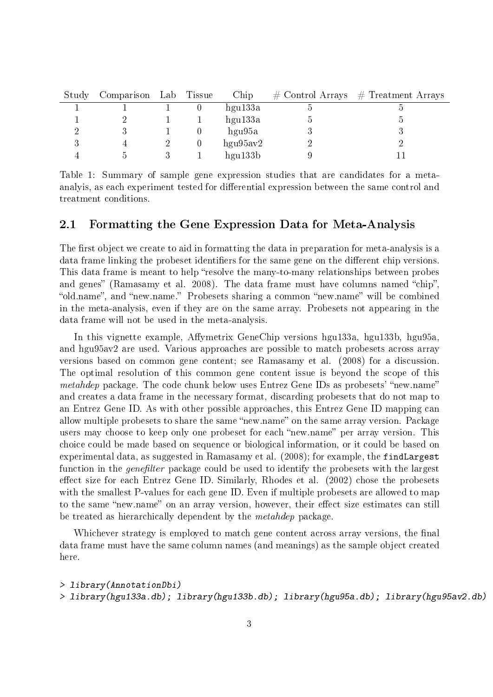| Study | Comparison Lab | Tissue | Chip     |   | $\#$ Control Arrays $\#$ Treatment Arrays |
|-------|----------------|--------|----------|---|-------------------------------------------|
|       |                |        | hgu133a  | Ð |                                           |
|       |                |        | hgu133a  | Э |                                           |
|       |                |        | hgu95a   |   |                                           |
|       |                |        | hgu95av2 |   |                                           |
|       |                |        | hgu133b  |   |                                           |

Table 1: Summary of sample gene expression studies that are candidates for a metaanalyis, as each experiment tested for differential expression between the same control and treatment conditions.

#### 2.1 Formatting the Gene Expression Data for Meta-Analysis

The first object we create to aid in formatting the data in preparation for meta-analysis is a data frame linking the probeset identifiers for the same gene on the different chip versions. This data frame is meant to help "resolve the many-to-many relationships between probes and genes" (Ramasamy et al. 2008). The data frame must have columns named "chip". "old.name", and "new.name." Probesets sharing a common "new.name" will be combined in the meta-analysis, even if they are on the same array. Probesets not appearing in the data frame will not be used in the meta-analysis.

In this vignette example, Affymetrix GeneChip versions hgu133a, hgu133b, hgu95a, and hgu95av2 are used. Various approaches are possible to match probesets across array versions based on common gene content; see Ramasamy et al. (2008) for a discussion. The optimal resolution of this common gene content issue is beyond the scope of this *metahdep* package. The code chunk below uses Entrez Gene IDs as probesets' "new.name" and creates a data frame in the necessary format, discarding probesets that do not map to an Entrez Gene ID. As with other possible approaches, this Entrez Gene ID mapping can allow multiple probesets to share the same "new.name" on the same array version. Package users may choose to keep only one probeset for each "new.name" per array version. This choice could be made based on sequence or biological information, or it could be based on experimental data, as suggested in Ramasamy et al. (2008); for example, the findLargest function in the *genefilter* package could be used to identify the probesets with the largest effect size for each Entrez Gene ID. Similarly, Rhodes et al. (2002) chose the probesets with the smallest P-values for each gene ID. Even if multiple probesets are allowed to map to the same "new.name" on an array version, however, their effect size estimates can still be treated as hierarchically dependent by the metahdep package.

Whichever strategy is employed to match gene content across array versions, the final data frame must have the same column names (and meanings) as the sample object created here.

<sup>&</sup>gt; library(AnnotationDbi)

<sup>&</sup>gt; library(hgu133a.db); library(hgu133b.db); library(hgu95a.db); library(hgu95av2.db)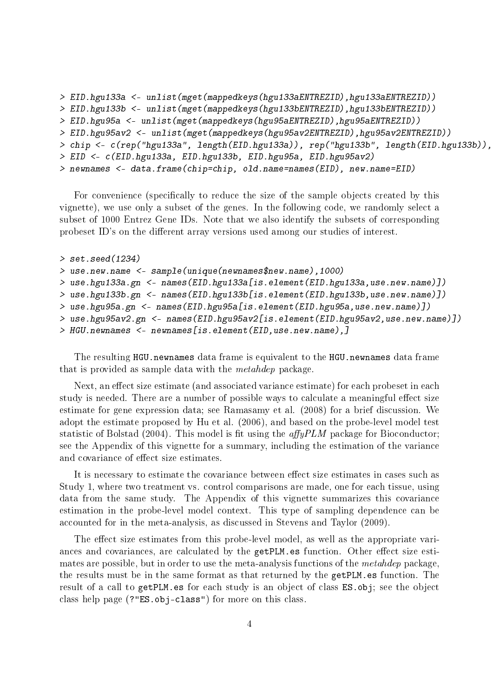```
> EID.hgu133a <- unlist(mget(mappedkeys(hgu133aENTREZID),hgu133aENTREZID))
> EID.hgu133b <- unlist(mget(mappedkeys(hgu133bENTREZID),hgu133bENTREZID))
> EID.hgu95a <- unlist(mget(mappedkeys(hgu95aENTREZID),hgu95aENTREZID))
> EID.hgu95av2 <- unlist(mget(mappedkeys(hgu95av2ENTREZID),hgu95av2ENTREZID))
> chip <- c(rep("hgu133a", length(EID.hgu133a)), rep("hgu133b", length(EID.hgu133b)),
> EID <- c(EID.hgu133a, EID.hgu133b, EID.hgu95a, EID.hgu95av2)
> newnames <- data.frame(chip=chip, old.name=names(EID), new.name=EID)
```
For convenience (specifically to reduce the size of the sample objects created by this vignette), we use only a subset of the genes. In the following code, we randomly select a subset of 1000 Entrez Gene IDs. Note that we also identify the subsets of corresponding probeset ID's on the different array versions used among our studies of interest.

```
> set.seed(1234)
> use.new.name <- sample(unique(newnames$new.name),1000)
> use.hgu133a.gn <- names(EID.hgu133a[is.element(EID.hgu133a,use.new.name)])
> use.hgu133b.gn <- names(EID.hgu133b[is.element(EID.hgu133b,use.new.name)])
> use.hgu95a.gn <- names(EID.hgu95a[is.element(EID.hgu95a,use.new.name)])
> use.hgu95av2.gn <- names(EID.hgu95av2[is.element(EID.hgu95av2,use.new.name)])
> HGU.newnames <- newnames[is.element(EID,use.new.name),]
```
The resulting HGU.newnames data frame is equivalent to the HGU.newnames data frame that is provided as sample data with the metahdep package.

Next, an effect size estimate (and associated variance estimate) for each probeset in each study is needed. There are a number of possible ways to calculate a meaningful effect size estimate for gene expression data; see Ramasamy et al. (2008) for a brief discussion. We adopt the estimate proposed by Hu et al. (2006), and based on the probe-level model test statistic of Bolstad (2004). This model is fit using the  $affyPLM$  package for Bioconductor; see the Appendix of this vignette for a summary, including the estimation of the variance and covariance of effect size estimates.

It is necessary to estimate the covariance between effect size estimates in cases such as Study 1, where two treatment vs. control comparisons are made, one for each tissue, using data from the same study. The Appendix of this vignette summarizes this covariance estimation in the probe-level model context. This type of sampling dependence can be accounted for in the meta-analysis, as discussed in Stevens and Taylor (2009).

The effect size estimates from this probe-level model, as well as the appropriate variances and covariances, are calculated by the getPLM.es function. Other effect size estimates are possible, but in order to use the meta-analysis functions of the metahdep package, the results must be in the same format as that returned by the getPLM.es function. The result of a call to getPLM.es for each study is an object of class ES.obj; see the object class help page (?"ES.obj-class") for more on this class.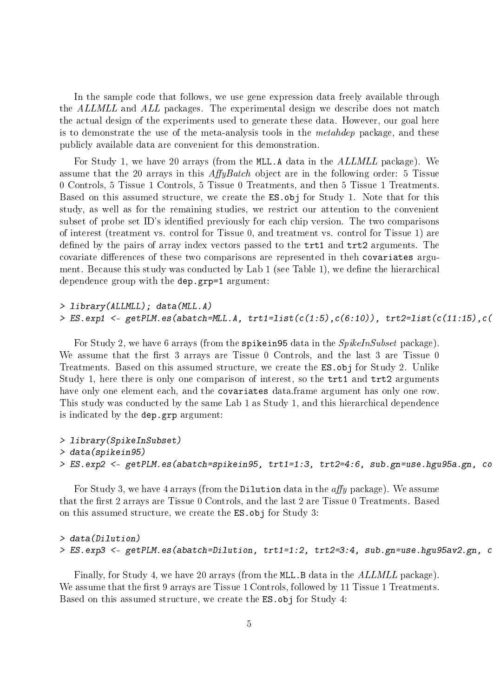In the sample code that follows, we use gene expression data freely available through the ALLMLL and ALL packages. The experimental design we describe does not match the actual design of the experiments used to generate these data. However, our goal here is to demonstrate the use of the meta-analysis tools in the metahdep package, and these publicly available data are convenient for this demonstration.

For Study 1, we have 20 arrays (from the MLL.A data in the ALLMLL package). We assume that the 20 arrays in this  $AffyBatch$  object are in the following order: 5 Tissue 0 Controls, 5 Tissue 1 Controls, 5 Tissue 0 Treatments, and then 5 Tissue 1 Treatments. Based on this assumed structure, we create the ES.obj for Study 1. Note that for this study, as well as for the remaining studies, we restrict our attention to the convenient subset of probe set ID's identified previously for each chip version. The two comparisons of interest (treatment vs. control for Tissue 0, and treatment vs. control for Tissue 1) are defined by the pairs of array index vectors passed to the trt1 and trt2 arguments. The covariate differences of these two comparisons are represented in theh covariates argument. Because this study was conducted by  $Lab 1$  (see Table 1), we define the hierarchical dependence group with the dep.grp=1 argument:

#### > library(ALLMLL); data(MLL.A)  $> ES.\exp1 < -gerBLM.\es(abatch=MLLA, trti=list(c(1:5), c(6:10)), trt2=list(c(1:15), c(1:15)), c(1:10))$

For Study 2, we have 6 arrays (from the spikein95 data in the *SpikelnSubset* package). We assume that the first 3 arrays are Tissue 0 Controls, and the last 3 are Tissue 0 Treatments. Based on this assumed structure, we create the ES.obj for Study 2. Unlike Study 1, here there is only one comparison of interest, so the trt1 and trt2 arguments have only one element each, and the covariates data.frame argument has only one row. This study was conducted by the same Lab 1 as Study 1, and this hierarchical dependence is indicated by the dep.grp argument:

#### > library(SpikeInSubset) > data(spikein95) > ES.exp2 <- getPLM.es(abatch=spikein95, trt1=1:3, trt2=4:6, sub.gn=use.hgu95a.gn, co

For Study 3, we have 4 arrays (from the Dilution data in the  $affy$  package). We assume that the first 2 arrays are Tissue 0 Controls, and the last 2 are Tissue 0 Treatments. Based on this assumed structure, we create the ES.obj for Study 3:

#### > data(Dilution)  $> ES. exp3 < - getPLM. es (abatch=Dilution, trti=1:2, trt2=3:4, sub.gn=use.hgu95av2.gn, c$

Finally, for Study 4, we have 20 arrays (from the MLL.B data in the ALLMLL package). We assume that the first 9 arrays are Tissue 1 Controls, followed by 11 Tissue 1 Treatments. Based on this assumed structure, we create the ES.obj for Study 4: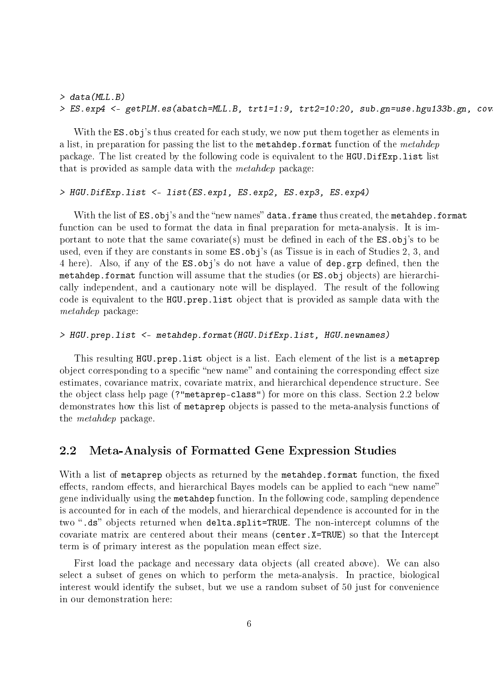#### > data(MLL.B) > ES.exp4 <- getPLM.es(abatch=MLL.B, trt1=1:9, trt2=10:20, sub.gn=use.hgu133b.gn, cov

With the ES. obj's thus created for each study, we now put them together as elements in a list, in preparation for passing the list to the metahdep. format function of the metahdep package. The list created by the following code is equivalent to the HGU.DifExp.list list that is provided as sample data with the metahdep package:

#### > HGU.DifExp.list <- list(ES.exp1, ES.exp2, ES.exp3, ES.exp4)

With the list of ES.obj's and the "new names" data.frame thus created, the metahdep.format function can be used to format the data in final preparation for meta-analysis. It is important to note that the same covariate(s) must be defined in each of the  $ES.$ obj's to be used, even if they are constants in some ES.obj's (as Tissue is in each of Studies 2, 3, and 4 here). Also, if any of the ES.obj's do not have a value of dep.grp defined, then the metahdep.format function will assume that the studies (or ES.obj objects) are hierarchically independent, and a cautionary note will be displayed. The result of the following code is equivalent to the HGU.prep.list object that is provided as sample data with the metahdep package:

#### > HGU.prep.list <- metahdep.format(HGU.DifExp.list, HGU.newnames)

This resulting HGU.prep.list object is a list. Each element of the list is a metaprep object corresponding to a specific "new name" and containing the corresponding effect size estimates, covariance matrix, covariate matrix, and hierarchical dependence structure. See the object class help page (?"metaprep-class") for more on this class. Section 2.2 below demonstrates how this list of metaprep objects is passed to the meta-analysis functions of the metahdep package.

#### 2.2 Meta-Analysis of Formatted Gene Expression Studies

With a list of metaprep objects as returned by the metahdep.format function, the fixed effects, random effects, and hierarchical Bayes models can be applied to each "new name" gene individually using the metahdep function. In the following code, sampling dependence is accounted for in each of the models, and hierarchical dependence is accounted for in the two ".ds" objects returned when delta.split=TRUE. The non-intercept columns of the covariate matrix are centered about their means (center.X=TRUE) so that the Intercept term is of primary interest as the population mean effect size.

First load the package and necessary data objects (all created above). We can also select a subset of genes on which to perform the meta-analysis. In practice, biological interest would identify the subset, but we use a random subset of 50 just for convenience in our demonstration here: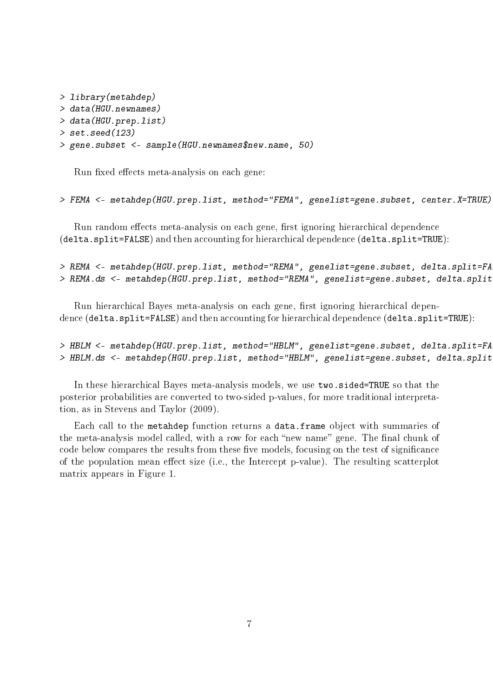```
> library(metahdep)
> data(HGU.newnames)
> data(HGU.prep.list)
> set.seed(123)
> gene.subset <- sample(HGU.newnames$new.name, 50)
```
Run fixed effects meta-analysis on each gene:

```
> FEMA <- metahdep(HGU.prep.list, method="FEMA", genelist=gene.subset, center.X=TRUE)
```
Run random effects meta-analysis on each gene, first ignoring hierarchical dependence (delta.split=FALSE) and then accounting for hierarchical dependence (delta.split=TRUE):

```
> REMA <- metahdep(HGU.prep.list, method="REMA", genelist=gene.subset, delta.split=FA
> REMA.ds <- metahdep(HGU.prep.list, method="REMA", genelist=gene.subset, delta.split
```
Run hierarchical Bayes meta-analysis on each gene, first ignoring hierarchical dependence (delta.split=FALSE) and then accounting for hierarchical dependence (delta.split=TRUE):

> HBLM <- metahdep(HGU.prep.list, method="HBLM", genelist=gene.subset, delta.split=FA > HBLM.ds <- metahdep(HGU.prep.list, method="HBLM", genelist=gene.subset, delta.split

In these hierarchical Bayes meta-analysis models, we use two.sided=TRUE so that the posterior probabilities are converted to two-sided p-values, for more traditional interpretation, as in Stevens and Taylor (2009).

Each call to the metahdep function returns a data.frame object with summaries of the meta-analysis model called, with a row for each "new name" gene. The final chunk of code below compares the results from these five models, focusing on the test of significance of the population mean effect size (i.e., the Intercept p-value). The resulting scatterplot matrix appears in Figure 1.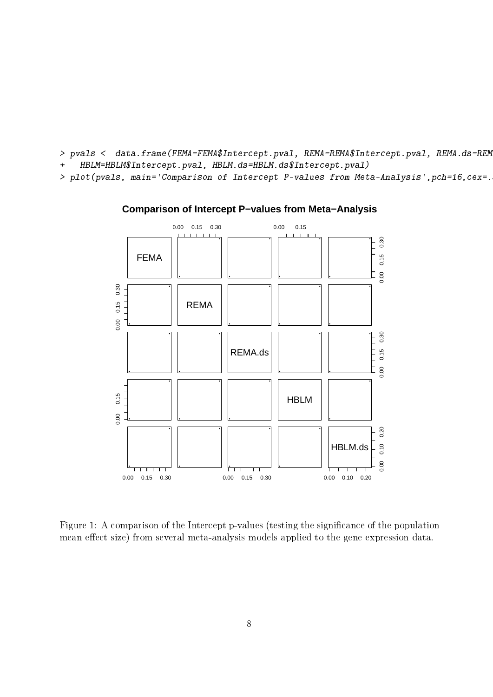- > pvals <- data.frame(FEMA=FEMA\$Intercept.pval, REMA=REMA\$Intercept.pval, REMA.ds=REM + HBLM=HBLM\$Intercept.pval, HBLM.ds=HBLM.ds\$Intercept.pval)
- > plot(pvals, main='Comparison of Intercept P-values from Meta-Analysis',pch=16,cex=.5)



#### **Comparison of Intercept P−values from Meta−Analysis**

Figure 1: A comparison of the Intercept p-values (testing the signicance of the population mean effect size) from several meta-analysis models applied to the gene expression data.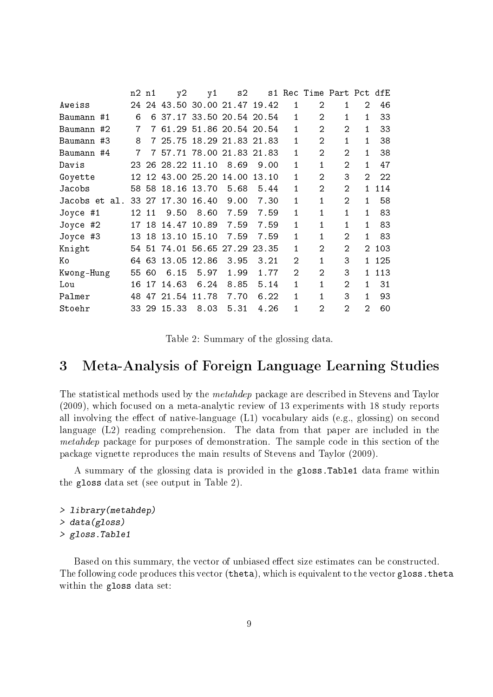|        |                                                                                                                         |    | y2                                     |                |                                                                                                                               |             |                                                                                                                                          |                |                |                |                          |
|--------|-------------------------------------------------------------------------------------------------------------------------|----|----------------------------------------|----------------|-------------------------------------------------------------------------------------------------------------------------------|-------------|------------------------------------------------------------------------------------------------------------------------------------------|----------------|----------------|----------------|--------------------------|
|        | 24                                                                                                                      |    |                                        |                |                                                                                                                               |             | 1                                                                                                                                        | 2              | $\mathbf{1}$   | 2              | 46                       |
|        | 6                                                                                                                       |    |                                        |                |                                                                                                                               |             | $\mathbf{1}$                                                                                                                             | 2              | 1              | 1              | 33                       |
|        | 7                                                                                                                       | 7  |                                        |                |                                                                                                                               |             | 1                                                                                                                                        | 2              | $\overline{2}$ | 1              | 33                       |
|        | 8                                                                                                                       | 7  |                                        |                |                                                                                                                               |             | 1                                                                                                                                        | 2              | $\mathbf{1}$   | 1              | 38                       |
|        | 7                                                                                                                       | 7  |                                        |                |                                                                                                                               |             | 1                                                                                                                                        | 2              | 2              | 1              | 38                       |
|        | 23.                                                                                                                     |    |                                        |                | 8.69                                                                                                                          | 9.00        | 1                                                                                                                                        | 1.             | $\mathfrak{D}$ | 1              | 47                       |
|        |                                                                                                                         |    |                                        |                |                                                                                                                               | 13.10       | 1                                                                                                                                        | 2              | 3              | $\overline{2}$ | 22                       |
|        |                                                                                                                         |    |                                        |                | 5.68                                                                                                                          | 5.44        | 1                                                                                                                                        | 2              | $\mathfrak{D}$ | 1              | 114                      |
|        |                                                                                                                         | 27 | 17.30                                  |                | 9.00                                                                                                                          | 7.30        | 1                                                                                                                                        | 1              | $\mathfrak{D}$ | 1              | 58                       |
|        |                                                                                                                         |    | 9.50                                   | 8.60           | 7.59                                                                                                                          | 7.59        | 1                                                                                                                                        | 1              | 1              | 1              | 83                       |
|        |                                                                                                                         |    |                                        |                | 7.59                                                                                                                          | 7.59        | 1                                                                                                                                        | 1              | 1              | 1              | 83                       |
|        |                                                                                                                         |    |                                        |                | 7.59                                                                                                                          | 7.59        | 1                                                                                                                                        | 1              | 2              | 1              | 83                       |
|        |                                                                                                                         |    |                                        |                | 27.29                                                                                                                         | 23.35       | 1                                                                                                                                        | 2              | $\overline{2}$ | $\mathcal{D}$  | 103                      |
|        | 64                                                                                                                      | 63 | 13.05                                  |                | 3.95                                                                                                                          | 3.21        | $\overline{2}$                                                                                                                           | 1              | 3              | 1.             | 125                      |
|        | 55                                                                                                                      | 60 | 6.15                                   | 5.97           | 1.99                                                                                                                          | 1.77        | $\mathfrak{D}$                                                                                                                           | $\mathfrak{D}$ | 3              | 1.             | 113                      |
|        | 16                                                                                                                      | 17 | 14.63                                  | 6.24           | 8.85                                                                                                                          | 5.14        | 1                                                                                                                                        | 1              | $\mathcal{D}$  | 1              | 31                       |
| Palmer |                                                                                                                         | 47 | 21.54                                  | 11.78          | 7.70                                                                                                                          | 6.22        | 1                                                                                                                                        | 1              | 3              | 1              | 93                       |
|        |                                                                                                                         |    | 15.33                                  | 8.03           | 5.31                                                                                                                          | 4.26        | 1                                                                                                                                        | 2              | $\mathfrak{D}$ | $\overline{2}$ | 60                       |
|        | Baumann #1<br>Baumann #2<br>Baumann #3<br>Baumann #4<br>Jacobs et al.<br>Joyce #1<br>Joyce #2<br>Joyce #3<br>Kwong-Hung | 48 | n2 n1<br>33<br>12 11<br>13 18<br>33 29 | 25.75<br>13.10 | 26 28.22 11.10<br>12 12 43.00 25.20<br>58 58 18.16 13.70<br>16.40<br>17 18 14.47 10.89<br>15.10<br>54 51 74.01 56.65<br>12.86 | y1<br>14.00 | s2<br>24 43.50 30.00 21.47 19.42<br>6 37.17 33.50 20.54 20.54<br>61.29 51.86 20.54 20.54<br>18.29 21.83 21.83<br>57.71 78.00 21.83 21.83 |                |                |                | s1 Rec Time Part Pct dfE |

Table 2: Summary of the glossing data.

### 3 Meta-Analysis of Foreign Language Learning Studies

The statistical methods used by the metahdep package are described in Stevens and Taylor (2009), which focused on a meta-analytic review of 13 experiments with 18 study reports all involving the effect of native-language  $(L1)$  vocabulary aids (e.g., glossing) on second language (L2) reading comprehension. The data from that paper are included in the metahdep package for purposes of demonstration. The sample code in this section of the package vignette reproduces the main results of Stevens and Taylor (2009).

A summary of the glossing data is provided in the gloss.Table1 data frame within the gloss data set (see output in Table 2).

> library(metahdep) > data(gloss) > gloss.Table1

Based on this summary, the vector of unbiased effect size estimates can be constructed. The following code produces this vector (theta), which is equivalent to the vector gloss. theta within the gloss data set: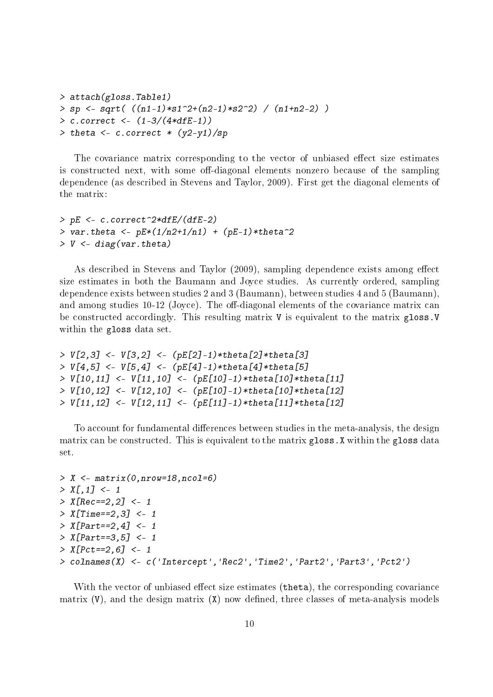```
> attach(gloss.Table1)
> sp \leq sqrt( ((n1-1)*s1^2+(n2-1)*s2^2) / (n1+n2-2) )> c.correct < - (1-3/(4*dFE-1))> theta <- c \cdot correct \cdot (y2-y1)/sp
```
The covariance matrix corresponding to the vector of unbiased effect size estimates is constructed next, with some off-diagonal elements nonzero because of the sampling dependence (as described in Stevens and Taylor, 2009). First get the diagonal elements of the matrix:

```
> pE <- c.correct<sup>-2*dfE</sup>/(dfE-2)
> var.theta <- pE*(1/n2+1/n1) + (pE-1)*theta^2> V < - diag(var.theta)
```
As described in Stevens and Taylor (2009), sampling dependence exists among effect size estimates in both the Baumann and Joyce studies. As currently ordered, sampling dependence exists between studies 2 and 3 (Baumann), between studies 4 and 5 (Baumann), and among studies  $10-12$  (Joyce). The off-diagonal elements of the covariance matrix can be constructed accordingly. This resulting matrix V is equivalent to the matrix gloss. V within the gloss data set.

```
> V[2,3] <- V[3,2] <- (pE[2]-1)*theta[2]*theta[3]
> V[4,5] <- V[5,4] <- (pE[4]-1)*theta[4]*theta[5]> V[10, 11] <- V[11, 10] <- (pE[10]-1)*theta[10]*theta[11]> V[10,12] <- V[12,10] <- (pE[10]-1)*theta[10]*theta[12]
> V[11,12] <- V[12,11] <- (pE[11]-1)*theta[11]*theta[12]
```
To account for fundamental differences between studies in the meta-analysis, the design matrix can be constructed. This is equivalent to the matrix gloss.X within the gloss data set.

```
> X <- matrix(0,nrow=18,ncol=6)
> X[.1] < -1> X[Rec==2, 2] < -1> X[Time == 2, 3] < -1> X[Part==2, 4] < -1> X[Part==3, 5] < -1> X[Pet==2, 6] < -1> colnames(X) <- c('Intercept','Rec2','Time2','Part2','Part3','Pct2')
```
With the vector of unbiased effect size estimates  $(\text{theta})$ , the corresponding covariance matrix  $(V)$ , and the design matrix  $(X)$  now defined, three classes of meta-analysis models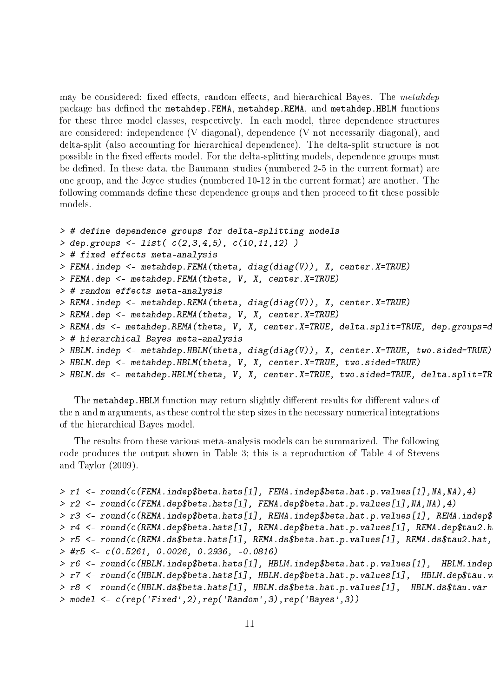may be considered: fixed effects, random effects, and hierarchical Bayes. The metahdep package has defined the metahdep.FEMA, metahdep.REMA, and metahdep.HBLM functions for these three model classes, respectively. In each model, three dependence structures are considered: independence (V diagonal), dependence (V not necessarily diagonal), and delta-split (also accounting for hierarchical dependence). The delta-split structure is not possible in the fixed effects model. For the delta-splitting models, dependence groups must be defined. In these data, the Baumann studies (numbered 2-5 in the current format) are one group, and the Joyce studies (numbered 10-12 in the current format) are another. The following commands define these dependence groups and then proceed to fit these possible models.

```
> # define dependence groups for delta-splitting models
> dep.groups <- list( c(2,3,4,5), c(10,11,12) )
> # fixed effects meta-analysis
> FEMA.indep <- metahdep.FEMA(theta, diag(diag(V)), X, center.X=TRUE)
> FEMA.dep <- metahdep.FEMA(theta, V, X, center.X=TRUE)
> # random effects meta-analysis
> REMA.indep <- metahdep.REMA(theta, diag(diag(V)), X, center.X=TRUE)
> REMA.dep <- metahdep.REMA(theta, V, X, center.X=TRUE)
> REMA.ds <- metahdep.REMA(theta, V, X, center.X=TRUE, delta.split=TRUE, dep.groups=d
> # hierarchical Bayes meta-analysis
> HBLM.indep <- metahdep.HBLM(theta, diag(diag(V)), X, center.X=TRUE, two.sided=TRUE)
> HBLM.dep <- metahdep.HBLM(theta, V, X, center.X=TRUE, two.sided=TRUE)
> HBLM.ds <- metahdep.HBLM(theta, V, X, center.X=TRUE, two.sided=TRUE, delta.split=TR
```
The metahdep.HBLM function may return slightly different results for different values of the n and m arguments, as these control the step sizes in the necessary numerical integrations of the hierarchical Bayes model.

The results from these various meta-analysis models can be summarized. The following code produces the output shown in Table 3; this is a reproduction of Table 4 of Stevens and Taylor (2009).

```
> r1 <- round(c(FEMA.indep$beta.hats[1], FEMA.indep$beta.hat.p.values[1],NA,NA),4)
> r2 <- round(c(FEMA.dep$beta.hats[1], FEMA.dep$beta.hat.p.values[1],NA,NA),4)
> r3 <- round(c(REMA.indep$beta.hats[1], REMA.indep$beta.hat.p.values[1], REMA.indep$
> r4 <- round(c(REMA.dep$beta.hats[1], REMA.dep$beta.hat.p.values[1], REMA.dep$tau2.h
> r5 <- round(c(REMA.ds$beta.hats[1], REMA.ds$beta.hat.p.values[1], REMA.ds$tau2.hat,> #r5 <- c(0.5261, 0.0026, 0.2936, -0.0816)
> r6 <- round(c(HBLM.indep$beta.hats[1], HBLM.indep$beta.hat.p.values[1], HBLM.indep
> r7 <- round(c(HBLM.dep$beta.hats[1], HBLM.dep$beta.hat.p.values[1], HBLM.dep$tau.v
> r8 <- round(c(HBLM.ds$beta.hats[1], HBLM.ds$beta.hat.p.values[1], HBLM.ds$tau.var
> model <- c(rep('Fixed',2),rep('Random',3),rep('Bayes',3))
```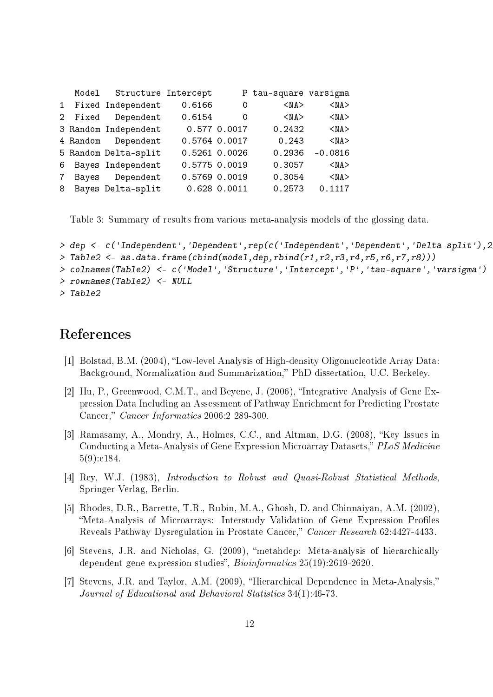|  | Model Structure Intercept |               |                          | P tau-square varsigma |            |
|--|---------------------------|---------------|--------------------------|-----------------------|------------|
|  | 1 Fixed Independent       | 0.6166        | $\overline{\phantom{0}}$ | $<$ NA $>$            | $<$ NA $>$ |
|  | 2 Fixed Dependent         | 0.6154        | $\overline{\phantom{0}}$ | $<$ NA $>$            | $<$ NA $>$ |
|  | 3 Random Independent      |               | 0.577 0.0017             | 0.2432                | $<$ NA $>$ |
|  | 4 Random Dependent        | 0.5764 0.0017 |                          | 0.243                 | $<$ NA $>$ |
|  | 5 Random Delta-split      | 0.5261 0.0026 |                          | 0.2936                | $-0.0816$  |
|  | 6 Bayes Independent       | 0.5775 0.0019 |                          | 0.3057                | $<$ NA $>$ |
|  | 7 Bayes Dependent         | 0.5769 0.0019 |                          | 0.3054                | $<$ NA $>$ |
|  | 8 Bayes Delta-split       |               | 0.6280.0011              | 0.2573                | 0.1117     |

Table 3: Summary of results from various meta-analysis models of the glossing data.

```
> dep <- c('Independent','Dependent',rep(c('Independent','Dependent','Delta-split'),2))
> Table2 <- as.data.frame(cbind(model,dep,rbind(r1,r2,r3,r4,r5,r6,r7,r8)))
> colnames(Table2) <- c('Model','Structure','Intercept','P','tau-square','varsigma')
> rownames(Table2) <- NULL
> Table2
```
### References

- [1] Bolstad, B.M. (2004), "Low-level Analysis of High-density Oligonucleotide Array Data: Background, Normalization and Summarization, PhD dissertation, U.C. Berkeley.
- [2] Hu, P., Greenwood, C.M.T., and Beyene, J.  $(2006)$ , "Integrative Analysis of Gene Expression Data Including an Assessment of Pathway Enrichment for Predicting Prostate Cancer," Cancer Informatics 2006:2 289-300.
- [3] Ramasamy, A., Mondry, A., Holmes, C.C., and Altman, D.G. (2008), "Key Issues in Conducting a Meta-Analysis of Gene Expression Microarray Datasets," PLoS Medicine 5(9):e184.
- [4] Rey, W.J. (1983), *Introduction to Robust and Quasi-Robust Statistical Methods*, Springer-Verlag, Berlin.
- [5] Rhodes, D.R., Barrette, T.R., Rubin, M.A., Ghosh, D. and Chinnaiyan, A.M. (2002), "Meta-Analysis of Microarrays: Interstudy Validation of Gene Expression Profiles Reveals Pathway Dysregulation in Prostate Cancer," Cancer Research 62:4427-4433.
- [6] Stevens, J.R. and Nicholas, G. (2009), "metahdep: Meta-analysis of hierarchically dependent gene expression studies", Bioinformatics 25(19):2619-2620.
- [7] Stevens, J.R. and Taylor, A.M. (2009), "Hierarchical Dependence in Meta-Analysis," Journal of Educational and Behavioral Statistics 34(1):46-73.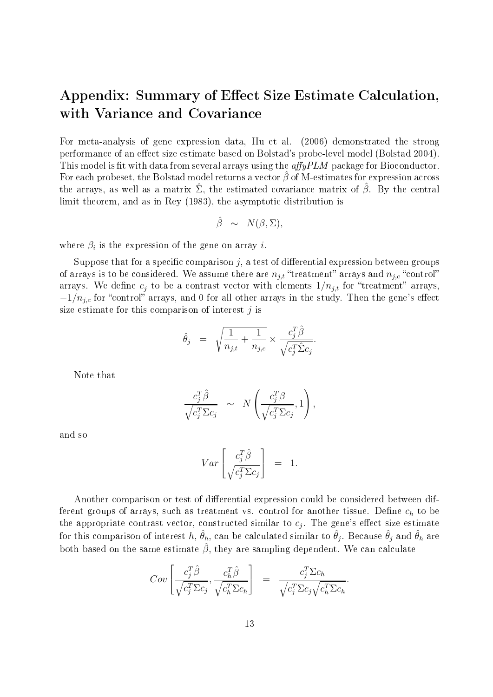## Appendix: Summary of Effect Size Estimate Calculation, with Variance and Covariance

For meta-analysis of gene expression data, Hu et al. (2006) demonstrated the strong performance of an effect size estimate based on Bolstad's probe-level model (Bolstad 2004). This model is fit with data from several arrays using the  $affyPLM$  package for Bioconductor. For each probeset, the Bolstad model returns a vector  $\hat{\beta}$  of M-estimates for expression across the arrays, as well as a matrix  $\hat{\Sigma}$ , the estimated covariance matrix of  $\hat{\beta}$ . By the central limit theorem, and as in Rey (1983), the asymptotic distribution is

$$
\hat{\beta} \sim N(\beta, \Sigma),
$$

where  $\beta_i$  is the expression of the gene on array *i*.

Suppose that for a specific comparison  $j$ , a test of differential expression between groups of arrays is to be considered. We assume there are  $n_{j,t}$  "treatment" arrays and  $n_{j,c}$  "control" arrays. We define  $c_i$  to be a contrast vector with elements  $1/n_{i,t}$  for "treatment" arrays,  $-1/n_{j,c}$  for "control" arrays, and 0 for all other arrays in the study. Then the gene's effect size estimate for this comparison of interest  $j$  is

$$
\hat{\theta}_j = \sqrt{\frac{1}{n_{j,t}} + \frac{1}{n_{j,c}}} \times \frac{c_j^T \hat{\beta}}{\sqrt{c_j^T \hat{\Sigma} c_j}}.
$$

Note that

$$
\frac{c_j^T \hat{\beta}}{\sqrt{c_j^T \Sigma c_j}} \sim N \left( \frac{c_j^T \beta}{\sqrt{c_j^T \Sigma c_j}}, 1 \right),
$$

and so

$$
Var\left[\frac{c_j^T \hat{\beta}}{\sqrt{c_j^T \Sigma c_j}}\right] = 1.
$$

Another comparison or test of differential expression could be considered between different groups of arrays, such as treatment vs. control for another tissue. Define  $c_h$  to be the appropriate contrast vector, constructed similar to  $c_j$ . The gene's effect size estimate for this comparison of interest  $h,$   $\hat{\theta}_h,$  can be calculated similar to  $\hat{\theta}_j.$  Because  $\hat{\theta}_j$  and  $\hat{\theta}_h$  are both based on the same estimate  $\hat{\beta}$ , they are sampling dependent. We can calculate

$$
Cov\left[\frac{c_j^T \hat{\beta}}{\sqrt{c_j^T \Sigma c_j}}, \frac{c_h^T \hat{\beta}}{\sqrt{c_h^T \Sigma c_h}}\right] = \frac{c_j^T \Sigma c_h}{\sqrt{c_j^T \Sigma c_j} \sqrt{c_h^T \Sigma c_h}}.
$$